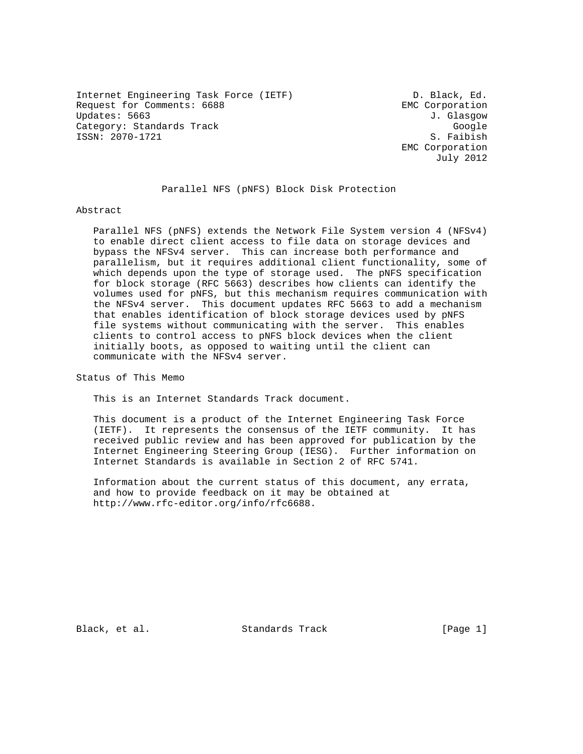Internet Engineering Task Force (IETF) D. Black, Ed. Request for Comments: 6688 EMC Corporation Updates: 5663 J. Glasgow Category: Standards Track Google Google ISSN: 2070-1721 S. Faibish

 EMC Corporation July 2012

Parallel NFS (pNFS) Block Disk Protection

Abstract

 Parallel NFS (pNFS) extends the Network File System version 4 (NFSv4) to enable direct client access to file data on storage devices and bypass the NFSv4 server. This can increase both performance and parallelism, but it requires additional client functionality, some of which depends upon the type of storage used. The pNFS specification for block storage (RFC 5663) describes how clients can identify the volumes used for pNFS, but this mechanism requires communication with the NFSv4 server. This document updates RFC 5663 to add a mechanism that enables identification of block storage devices used by pNFS file systems without communicating with the server. This enables clients to control access to pNFS block devices when the client initially boots, as opposed to waiting until the client can communicate with the NFSv4 server.

Status of This Memo

This is an Internet Standards Track document.

 This document is a product of the Internet Engineering Task Force (IETF). It represents the consensus of the IETF community. It has received public review and has been approved for publication by the Internet Engineering Steering Group (IESG). Further information on Internet Standards is available in Section 2 of RFC 5741.

 Information about the current status of this document, any errata, and how to provide feedback on it may be obtained at http://www.rfc-editor.org/info/rfc6688.

Black, et al. Standards Track [Page 1]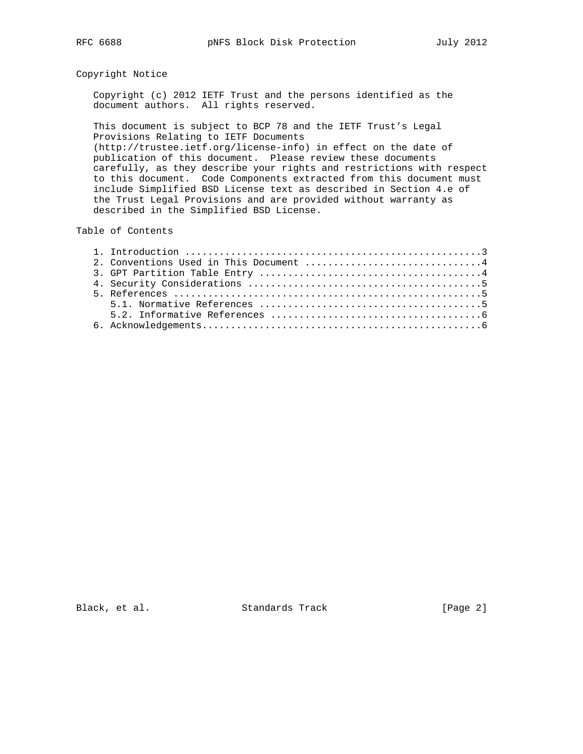## Copyright Notice

 Copyright (c) 2012 IETF Trust and the persons identified as the document authors. All rights reserved.

 This document is subject to BCP 78 and the IETF Trust's Legal Provisions Relating to IETF Documents (http://trustee.ietf.org/license-info) in effect on the date of publication of this document. Please review these documents carefully, as they describe your rights and restrictions with respect to this document. Code Components extracted from this document must include Simplified BSD License text as described in Section 4.e of the Trust Legal Provisions and are provided without warranty as described in the Simplified BSD License.

## Table of Contents

| 2. Conventions Used in This Document 4 |
|----------------------------------------|
|                                        |
|                                        |
|                                        |
|                                        |
|                                        |
|                                        |

Black, et al. Standards Track [Page 2]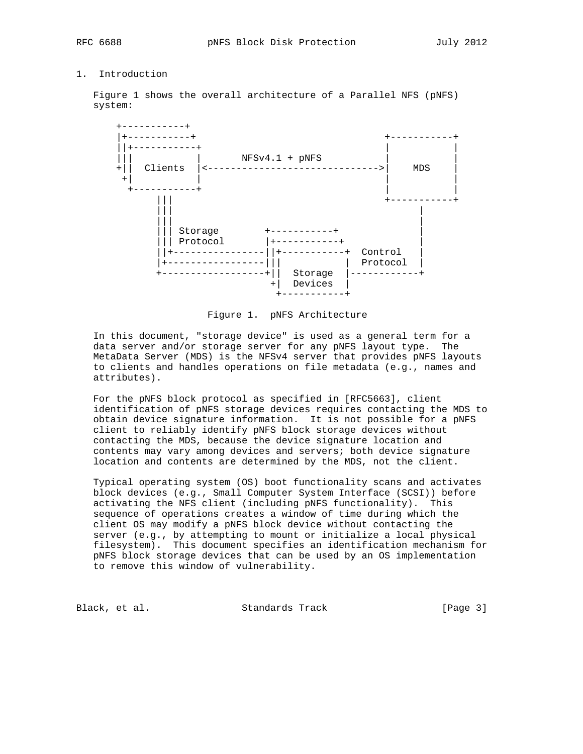## 1. Introduction

 Figure 1 shows the overall architecture of a Parallel NFS (pNFS) system:



Figure 1. pNFS Architecture

 In this document, "storage device" is used as a general term for a data server and/or storage server for any pNFS layout type. The MetaData Server (MDS) is the NFSv4 server that provides pNFS layouts to clients and handles operations on file metadata (e.g., names and attributes).

 For the pNFS block protocol as specified in [RFC5663], client identification of pNFS storage devices requires contacting the MDS to obtain device signature information. It is not possible for a pNFS client to reliably identify pNFS block storage devices without contacting the MDS, because the device signature location and contents may vary among devices and servers; both device signature location and contents are determined by the MDS, not the client.

 Typical operating system (OS) boot functionality scans and activates block devices (e.g., Small Computer System Interface (SCSI)) before activating the NFS client (including pNFS functionality). This sequence of operations creates a window of time during which the client OS may modify a pNFS block device without contacting the server (e.g., by attempting to mount or initialize a local physical filesystem). This document specifies an identification mechanism for pNFS block storage devices that can be used by an OS implementation to remove this window of vulnerability.

Black, et al. Standards Track [Page 3]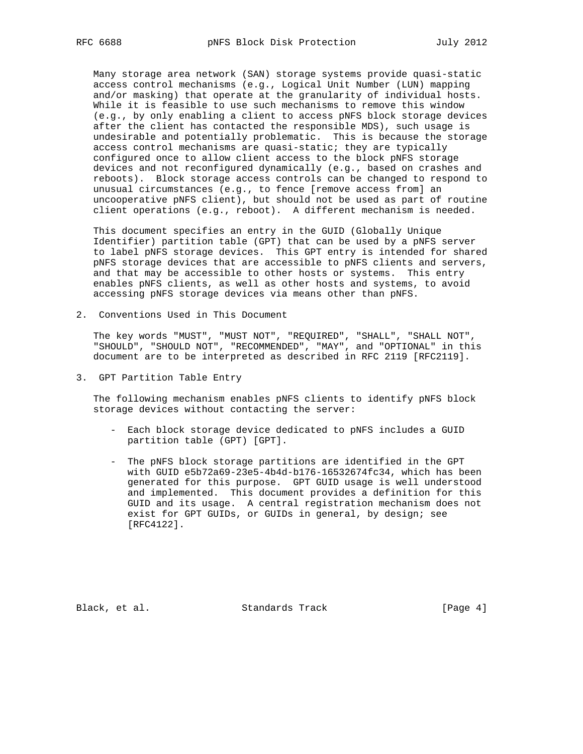Many storage area network (SAN) storage systems provide quasi-static access control mechanisms (e.g., Logical Unit Number (LUN) mapping and/or masking) that operate at the granularity of individual hosts. While it is feasible to use such mechanisms to remove this window (e.g., by only enabling a client to access pNFS block storage devices after the client has contacted the responsible MDS), such usage is undesirable and potentially problematic. This is because the storage access control mechanisms are quasi-static; they are typically configured once to allow client access to the block pNFS storage devices and not reconfigured dynamically (e.g., based on crashes and reboots). Block storage access controls can be changed to respond to unusual circumstances (e.g., to fence [remove access from] an uncooperative pNFS client), but should not be used as part of routine client operations (e.g., reboot). A different mechanism is needed.

 This document specifies an entry in the GUID (Globally Unique Identifier) partition table (GPT) that can be used by a pNFS server to label pNFS storage devices. This GPT entry is intended for shared pNFS storage devices that are accessible to pNFS clients and servers, and that may be accessible to other hosts or systems. This entry enables pNFS clients, as well as other hosts and systems, to avoid accessing pNFS storage devices via means other than pNFS.

2. Conventions Used in This Document

 The key words "MUST", "MUST NOT", "REQUIRED", "SHALL", "SHALL NOT", "SHOULD", "SHOULD NOT", "RECOMMENDED", "MAY", and "OPTIONAL" in this document are to be interpreted as described in RFC 2119 [RFC2119].

3. GPT Partition Table Entry

 The following mechanism enables pNFS clients to identify pNFS block storage devices without contacting the server:

- Each block storage device dedicated to pNFS includes a GUID partition table (GPT) [GPT].
- The pNFS block storage partitions are identified in the GPT with GUID e5b72a69-23e5-4b4d-b176-16532674fc34, which has been generated for this purpose. GPT GUID usage is well understood and implemented. This document provides a definition for this GUID and its usage. A central registration mechanism does not exist for GPT GUIDs, or GUIDs in general, by design; see [RFC4122].

Black, et al. Standards Track [Page 4]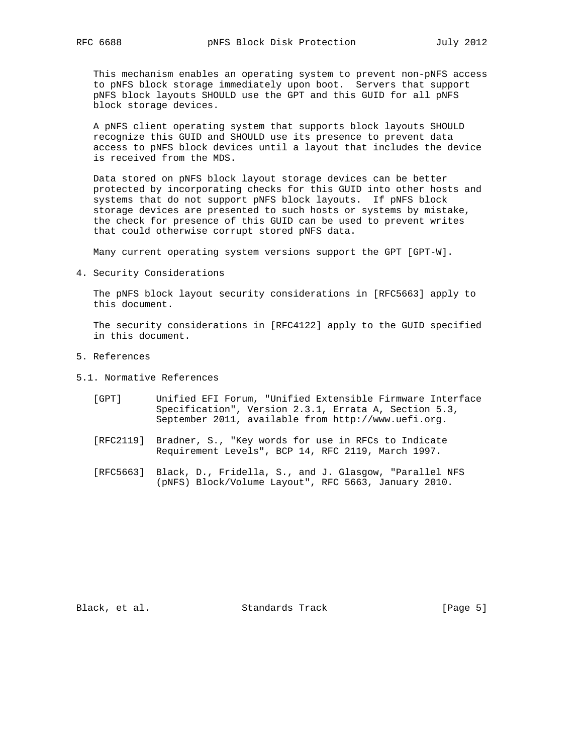This mechanism enables an operating system to prevent non-pNFS access to pNFS block storage immediately upon boot. Servers that support pNFS block layouts SHOULD use the GPT and this GUID for all pNFS block storage devices.

 A pNFS client operating system that supports block layouts SHOULD recognize this GUID and SHOULD use its presence to prevent data access to pNFS block devices until a layout that includes the device is received from the MDS.

 Data stored on pNFS block layout storage devices can be better protected by incorporating checks for this GUID into other hosts and systems that do not support pNFS block layouts. If pNFS block storage devices are presented to such hosts or systems by mistake, the check for presence of this GUID can be used to prevent writes that could otherwise corrupt stored pNFS data.

Many current operating system versions support the GPT [GPT-W].

4. Security Considerations

 The pNFS block layout security considerations in [RFC5663] apply to this document.

 The security considerations in [RFC4122] apply to the GUID specified in this document.

- 5. References
- 5.1. Normative References
	- [GPT] Unified EFI Forum, "Unified Extensible Firmware Interface Specification", Version 2.3.1, Errata A, Section 5.3, September 2011, available from http://www.uefi.org.
	- [RFC2119] Bradner, S., "Key words for use in RFCs to Indicate Requirement Levels", BCP 14, RFC 2119, March 1997.
	- [RFC5663] Black, D., Fridella, S., and J. Glasgow, "Parallel NFS (pNFS) Block/Volume Layout", RFC 5663, January 2010.

Black, et al. Standards Track [Page 5]